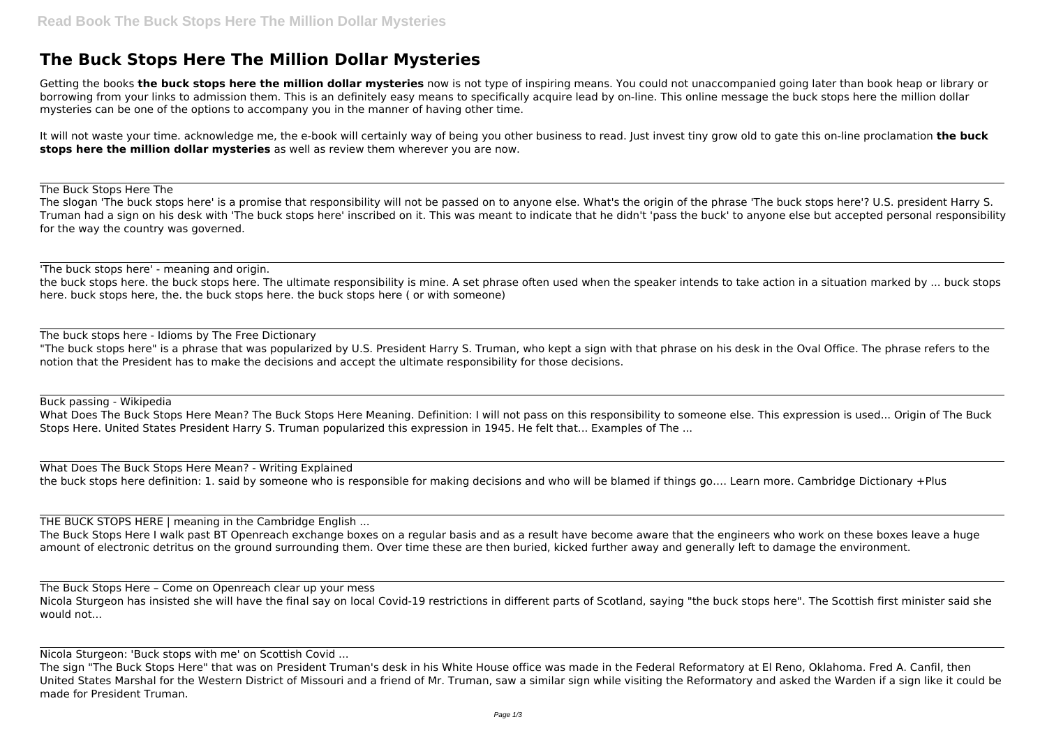## **The Buck Stops Here The Million Dollar Mysteries**

Getting the books **the buck stops here the million dollar mysteries** now is not type of inspiring means. You could not unaccompanied going later than book heap or library or borrowing from your links to admission them. This is an definitely easy means to specifically acquire lead by on-line. This online message the buck stops here the million dollar mysteries can be one of the options to accompany you in the manner of having other time.

It will not waste your time. acknowledge me, the e-book will certainly way of being you other business to read. Just invest tiny grow old to gate this on-line proclamation **the buck stops here the million dollar mysteries** as well as review them wherever you are now.

The Buck Stops Here The

The slogan 'The buck stops here' is a promise that responsibility will not be passed on to anyone else. What's the origin of the phrase 'The buck stops here'? U.S. president Harry S. Truman had a sign on his desk with 'The buck stops here' inscribed on it. This was meant to indicate that he didn't 'pass the buck' to anyone else but accepted personal responsibility for the way the country was governed.

'The buck stops here' - meaning and origin.

the buck stops here. the buck stops here. The ultimate responsibility is mine. A set phrase often used when the speaker intends to take action in a situation marked by ... buck stops here. buck stops here, the. the buck stops here. the buck stops here ( or with someone)

The buck stops here - Idioms by The Free Dictionary

"The buck stops here" is a phrase that was popularized by U.S. President Harry S. Truman, who kept a sign with that phrase on his desk in the Oval Office. The phrase refers to the notion that the President has to make the decisions and accept the ultimate responsibility for those decisions.

Buck passing - Wikipedia

What Does The Buck Stops Here Mean? The Buck Stops Here Meaning. Definition: I will not pass on this responsibility to someone else. This expression is used... Origin of The Buck Stops Here. United States President Harry S. Truman popularized this expression in 1945. He felt that... Examples of The ...

What Does The Buck Stops Here Mean? - Writing Explained the buck stops here definition: 1. said by someone who is responsible for making decisions and who will be blamed if things go…. Learn more. Cambridge Dictionary +Plus

THE BUCK STOPS HERE | meaning in the Cambridge English ... The Buck Stops Here I walk past BT Openreach exchange boxes on a regular basis and as a result have become aware that the engineers who work on these boxes leave a huge amount of electronic detritus on the ground surrounding them. Over time these are then buried, kicked further away and generally left to damage the environment.

The Buck Stops Here – Come on Openreach clear up your mess Nicola Sturgeon has insisted she will have the final say on local Covid-19 restrictions in different parts of Scotland, saying "the buck stops here". The Scottish first minister said she would not...

Nicola Sturgeon: 'Buck stops with me' on Scottish Covid ...

The sign "The Buck Stops Here" that was on President Truman's desk in his White House office was made in the Federal Reformatory at El Reno, Oklahoma. Fred A. Canfil, then United States Marshal for the Western District of Missouri and a friend of Mr. Truman, saw a similar sign while visiting the Reformatory and asked the Warden if a sign like it could be made for President Truman.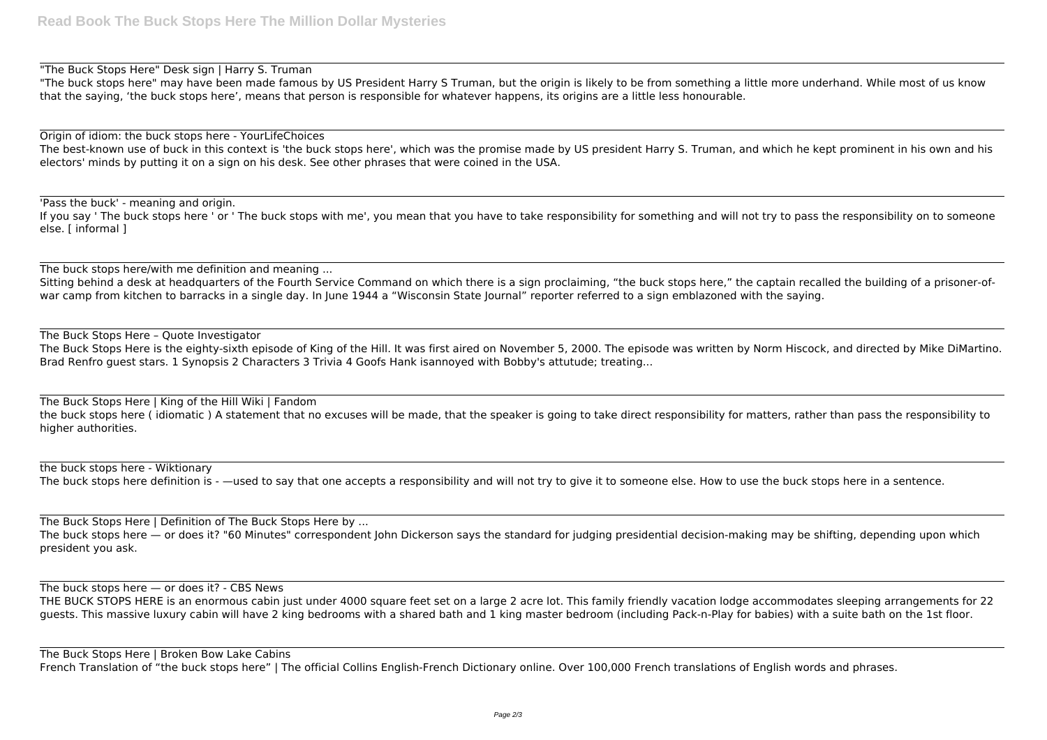"The Buck Stops Here" Desk sign | Harry S. Truman

"The buck stops here" may have been made famous by US President Harry S Truman, but the origin is likely to be from something a little more underhand. While most of us know that the saying, 'the buck stops here', means that person is responsible for whatever happens, its origins are a little less honourable.

Sitting behind a desk at headquarters of the Fourth Service Command on which there is a sign proclaiming, "the buck stops here," the captain recalled the building of a prisoner-ofwar camp from kitchen to barracks in a single day. In June 1944 a "Wisconsin State Journal" reporter referred to a sign emblazoned with the saying.

Origin of idiom: the buck stops here - YourLifeChoices The best-known use of buck in this context is 'the buck stops here', which was the promise made by US president Harry S. Truman, and which he kept prominent in his own and his electors' minds by putting it on a sign on his desk. See other phrases that were coined in the USA.

'Pass the buck' - meaning and origin. If you say ' The buck stops here ' or ' The buck stops with me', you mean that you have to take responsibility for something and will not try to pass the responsibility on to someone else. [ informal ]

The buck stops here/with me definition and meaning ...

the buck stops here - Wiktionary The buck stops here definition is - —used to say that one accepts a responsibility and will not try to give it to someone else. How to use the buck stops here in a sentence.

The Buck Stops Here – Quote Investigator The Buck Stops Here is the eighty-sixth episode of King of the Hill. It was first aired on November 5, 2000. The episode was written by Norm Hiscock, and directed by Mike DiMartino. Brad Renfro guest stars. 1 Synopsis 2 Characters 3 Trivia 4 Goofs Hank isannoyed with Bobby's attutude; treating...

The Buck Stops Here | King of the Hill Wiki | Fandom the buck stops here ( idiomatic ) A statement that no excuses will be made, that the speaker is going to take direct responsibility for matters, rather than pass the responsibility to higher authorities.

The Buck Stops Here | Definition of The Buck Stops Here by ... The buck stops here — or does it? "60 Minutes" correspondent John Dickerson says the standard for judging presidential decision-making may be shifting, depending upon which president you ask.

The buck stops here  $-$  or does it? - CBS News

THE BUCK STOPS HERE is an enormous cabin just under 4000 square feet set on a large 2 acre lot. This family friendly vacation lodge accommodates sleeping arrangements for 22 guests. This massive luxury cabin will have 2 king bedrooms with a shared bath and 1 king master bedroom (including Pack-n-Play for babies) with a suite bath on the 1st floor.

The Buck Stops Here | Broken Bow Lake Cabins French Translation of "the buck stops here" | The official Collins English-French Dictionary online. Over 100,000 French translations of English words and phrases.